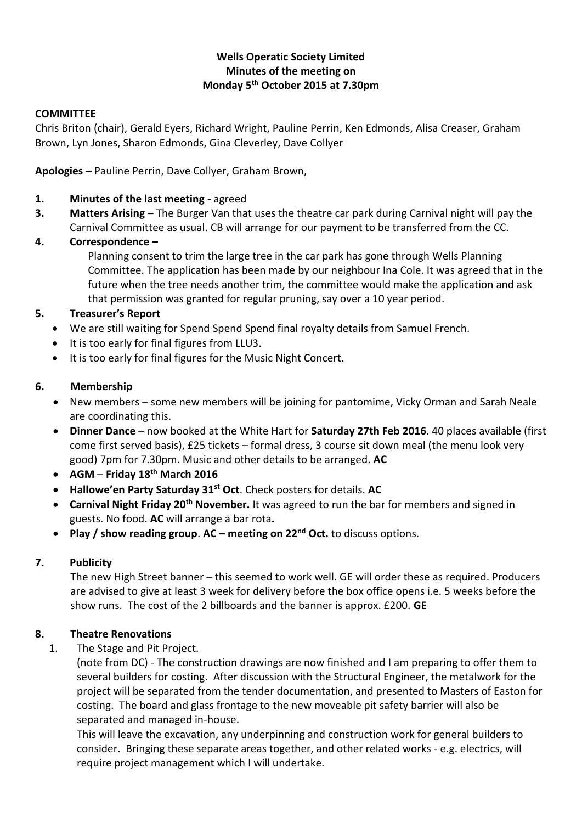## **Wells Operatic Society Limited Minutes of the meeting on Monday 5th October 2015 at 7.30pm**

#### **COMMITTEE**

Chris Briton (chair), Gerald Eyers, Richard Wright, Pauline Perrin, Ken Edmonds, Alisa Creaser, Graham Brown, Lyn Jones, Sharon Edmonds, Gina Cleverley, Dave Collyer

**Apologies –** Pauline Perrin, Dave Collyer, Graham Brown,

- **1. Minutes of the last meeting -** agreed
- **3. Matters Arising –** The Burger Van that uses the theatre car park during Carnival night will pay the Carnival Committee as usual. CB will arrange for our payment to be transferred from the CC.

## **4. Correspondence –**

Planning consent to trim the large tree in the car park has gone through Wells Planning Committee. The application has been made by our neighbour Ina Cole. It was agreed that in the future when the tree needs another trim, the committee would make the application and ask that permission was granted for regular pruning, say over a 10 year period.

## **5. Treasurer's Report**

- We are still waiting for Spend Spend Spend final royalty details from Samuel French.
- It is too early for final figures from LLU3.
- It is too early for final figures for the Music Night Concert.

#### **6. Membership**

- New members some new members will be joining for pantomime, Vicky Orman and Sarah Neale are coordinating this.
- **Dinner Dance** now booked at the White Hart for **Saturday 27th Feb 2016**. 40 places available (first come first served basis), £25 tickets – formal dress, 3 course sit down meal (the menu look very good) 7pm for 7.30pm. Music and other details to be arranged. **AC**
- **AGM Friday 18th March 2016**
- **Hallowe'en Party Saturday 31st Oct**. Check posters for details. **AC**
- **Carnival Night Friday 20th November.** It was agreed to run the bar for members and signed in guests. No food. **AC** will arrange a bar rota**.**
- **Play / show reading group**. **AC – meeting on 22nd Oct.** to discuss options.

#### **7. Publicity**

The new High Street banner – this seemed to work well. GE will order these as required. Producers are advised to give at least 3 week for delivery before the box office opens i.e. 5 weeks before the show runs. The cost of the 2 billboards and the banner is approx. £200. **GE**

# **8. Theatre Renovations**

1. The Stage and Pit Project.

(note from DC) - The construction drawings are now finished and I am preparing to offer them to several builders for costing. After discussion with the Structural Engineer, the metalwork for the project will be separated from the tender documentation, and presented to Masters of Easton for costing. The board and glass frontage to the new moveable pit safety barrier will also be separated and managed in-house.

This will leave the excavation, any underpinning and construction work for general builders to consider. Bringing these separate areas together, and other related works - e.g. electrics, will require project management which I will undertake.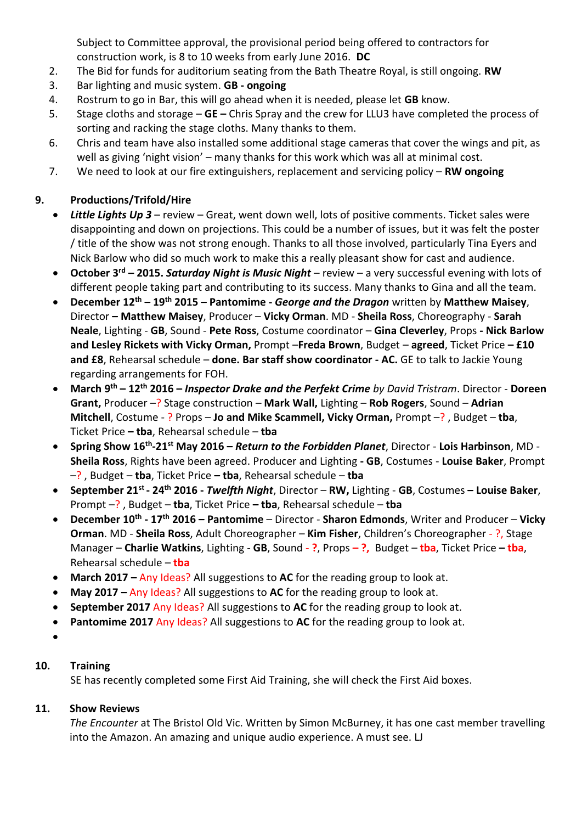Subject to Committee approval, the provisional period being offered to contractors for construction work, is 8 to 10 weeks from early June 2016. **DC**

- 2. The Bid for funds for auditorium seating from the Bath Theatre Royal, is still ongoing. **RW**
- 3. Bar lighting and music system. **GB - ongoing**
- 4. Rostrum to go in Bar, this will go ahead when it is needed, please let **GB** know.
- 5. Stage cloths and storage **GE –** Chris Spray and the crew for LLU3 have completed the process of sorting and racking the stage cloths. Many thanks to them.
- 6. Chris and team have also installed some additional stage cameras that cover the wings and pit, as well as giving 'night vision' – many thanks for this work which was all at minimal cost.
- 7. We need to look at our fire extinguishers, replacement and servicing policy **RW ongoing**

# **9. Productions/Trifold/Hire**

- *Little Lights Up 3* review Great, went down well, lots of positive comments. Ticket sales were disappointing and down on projections. This could be a number of issues, but it was felt the poster / title of the show was not strong enough. Thanks to all those involved, particularly Tina Eyers and Nick Barlow who did so much work to make this a really pleasant show for cast and audience.
- **October 3rd – 2015.** *Saturday Night is Music Night* review a very successful evening with lots of different people taking part and contributing to its success. Many thanks to Gina and all the team.
- **December 12th – 19th 2015 – Pantomime -** *George and the Dragon* written by **Matthew Maisey**, Director **– Matthew Maisey**, Producer – **Vicky Orman**. MD - **Sheila Ross**, Choreography - **Sarah Neale**, Lighting - **GB**, Sound - **Pete Ross**, Costume coordinator – **Gina Cleverley**, Props **- Nick Barlow and Lesley Rickets with Vicky Orman,** Prompt –**Freda Brown**, Budget – **agreed**, Ticket Price **– £10 and £8**, Rehearsal schedule – **done. Bar staff show coordinator - AC.** GE to talk to Jackie Young regarding arrangements for FOH.
- **March 9 th – 12th 2016 –** *Inspector Drake and the Perfekt Crime by David Tristram*. Director **Doreen Grant,** Producer –? Stage construction – **Mark Wall,** Lighting – **Rob Rogers**, Sound – **Adrian Mitchell**, Costume - ? Props – **Jo and Mike Scammell, Vicky Orman,** Prompt –? , Budget – **tba**, Ticket Price **– tba**, Rehearsal schedule – **tba**
- **Spring Show 16th -21st May 2016 –** *Return to the Forbidden Planet*, Director **Lois Harbinson**, MD **Sheila Ross**, Rights have been agreed. Producer and Lighting **- GB**, Costumes - **Louise Baker**, Prompt –? , Budget – **tba**, Ticket Price **– tba**, Rehearsal schedule – **tba**
- **September 21st - 24th 2016 -** *Twelfth Night*, Director **RW,** Lighting **GB**, Costumes **– Louise Baker**, Prompt –? , Budget – **tba**, Ticket Price **– tba**, Rehearsal schedule – **tba**
- **December 10th - 17th 2016 – Pantomime**  Director **Sharon Edmonds**, Writer and Producer **Vicky Orman**. MD - **Sheila Ross**, Adult Choreographer – **Kim Fisher**, Children's Choreographer - ?, Stage Manager – **Charlie Watkins**, Lighting - **GB**, Sound - **?**, Props **– ?,** Budget – **tba**, Ticket Price **– tba**, Rehearsal schedule – **tba**
- **March 2017 –** Any Ideas? All suggestions to **AC** for the reading group to look at.
- **May 2017 –** Any Ideas? All suggestions to **AC** for the reading group to look at.
- **September 2017** Any Ideas? All suggestions to **AC** for the reading group to look at.
- **Pantomime 2017** Any Ideas? All suggestions to **AC** for the reading group to look at.
- $\bullet$

# **10. Training**

SE has recently completed some First Aid Training, she will check the First Aid boxes.

# **11. Show Reviews**

*The Encounter* at The Bristol Old Vic. Written by Simon McBurney, it has one cast member travelling into the Amazon. An amazing and unique audio experience. A must see. LJ